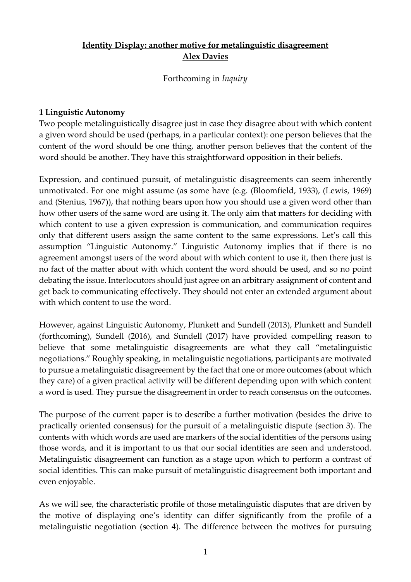# **Identity Display: another motive for metalinguistic disagreement Alex Davies**

Forthcoming in *Inquiry*

### **1 Linguistic Autonomy**

Two people metalinguistically disagree just in case they disagree about with which content a given word should be used (perhaps, in a particular context): one person believes that the content of the word should be one thing, another person believes that the content of the word should be another. They have this straightforward opposition in their beliefs.

Expression, and continued pursuit, of metalinguistic disagreements can seem inherently unmotivated. For one might assume (as some have (e.g. (Bloomfield, 1933), (Lewis, 1969) and (Stenius, 1967)), that nothing bears upon how you should use a given word other than how other users of the same word are using it. The only aim that matters for deciding with which content to use a given expression is communication, and communication requires only that different users assign the same content to the same expressions. Let's call this assumption "Linguistic Autonomy." Linguistic Autonomy implies that if there is no agreement amongst users of the word about with which content to use it, then there just is no fact of the matter about with which content the word should be used, and so no point debating the issue. Interlocutors should just agree on an arbitrary assignment of content and get back to communicating effectively. They should not enter an extended argument about with which content to use the word.

However, against Linguistic Autonomy, Plunkett and Sundell (2013), Plunkett and Sundell (forthcoming), Sundell (2016), and Sundell (2017) have provided compelling reason to believe that some metalinguistic disagreements are what they call "metalinguistic negotiations." Roughly speaking, in metalinguistic negotiations, participants are motivated to pursue a metalinguistic disagreement by the fact that one or more outcomes (about which they care) of a given practical activity will be different depending upon with which content a word is used. They pursue the disagreement in order to reach consensus on the outcomes.

The purpose of the current paper is to describe a further motivation (besides the drive to practically oriented consensus) for the pursuit of a metalinguistic dispute (section 3). The contents with which words are used are markers of the social identities of the persons using those words, and it is important to us that our social identities are seen and understood. Metalinguistic disagreement can function as a stage upon which to perform a contrast of social identities. This can make pursuit of metalinguistic disagreement both important and even enjoyable.

As we will see, the characteristic profile of those metalinguistic disputes that are driven by the motive of displaying one's identity can differ significantly from the profile of a metalinguistic negotiation (section 4). The difference between the motives for pursuing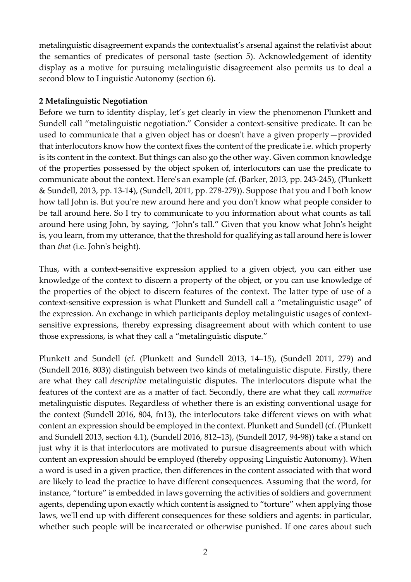metalinguistic disagreement expands the contextualist's arsenal against the relativist about the semantics of predicates of personal taste (section 5). Acknowledgement of identity display as a motive for pursuing metalinguistic disagreement also permits us to deal a second blow to Linguistic Autonomy (section 6).

### **2 Metalinguistic Negotiation**

Before we turn to identity display, let's get clearly in view the phenomenon Plunkett and Sundell call "metalinguistic negotiation." Consider a context-sensitive predicate. It can be used to communicate that a given object has or doesn't have a given property—provided that interlocutors know how the context fixes the content of the predicate i.e. which property is its content in the context. But things can also go the other way. Given common knowledge of the properties possessed by the object spoken of, interlocutors can use the predicate to communicate about the context. Here's an example (cf. (Barker, 2013, pp. 243-245), (Plunkett & Sundell, 2013, pp. 13-14), (Sundell, 2011, pp. 278-279)). Suppose that you and I both know how tall John is. But you're new around here and you don't know what people consider to be tall around here. So I try to communicate to you information about what counts as tall around here using John, by saying, "John's tall." Given that you know what John's height is, you learn, from my utterance, that the threshold for qualifying as tall around here is lower than *that* (i.e. John's height).

Thus, with a context-sensitive expression applied to a given object, you can either use knowledge of the context to discern a property of the object, or you can use knowledge of the properties of the object to discern features of the context. The latter type of use of a context-sensitive expression is what Plunkett and Sundell call a "metalinguistic usage" of the expression. An exchange in which participants deploy metalinguistic usages of contextsensitive expressions, thereby expressing disagreement about with which content to use those expressions, is what they call a "metalinguistic dispute."

Plunkett and Sundell (cf. (Plunkett and Sundell 2013, 14–15), (Sundell 2011, 279) and (Sundell 2016, 803)) distinguish between two kinds of metalinguistic dispute. Firstly, there are what they call *descriptive* metalinguistic disputes. The interlocutors dispute what the features of the context are as a matter of fact. Secondly, there are what they call *normative* metalinguistic disputes. Regardless of whether there is an existing conventional usage for the context (Sundell 2016, 804, fn13), the interlocutors take different views on with what content an expression should be employed in the context. Plunkett and Sundell (cf. (Plunkett and Sundell 2013, section 4.1), (Sundell 2016, 812–13), (Sundell 2017, 94-98)) take a stand on just why it is that interlocutors are motivated to pursue disagreements about with which content an expression should be employed (thereby opposing Linguistic Autonomy). When a word is used in a given practice, then differences in the content associated with that word are likely to lead the practice to have different consequences. Assuming that the word, for instance, "torture" is embedded in laws governing the activities of soldiers and government agents, depending upon exactly which content is assigned to "torture" when applying those laws, we'll end up with different consequences for these soldiers and agents: in particular, whether such people will be incarcerated or otherwise punished. If one cares about such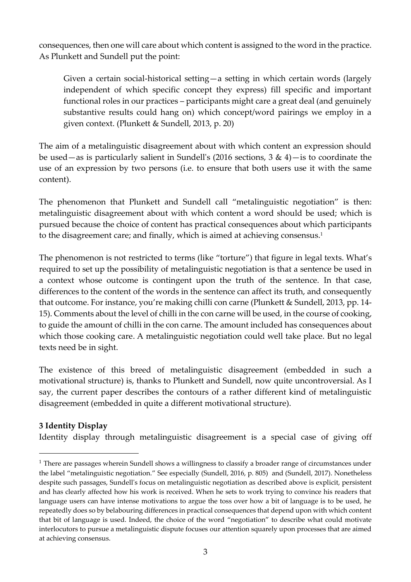consequences, then one will care about which content is assigned to the word in the practice. As Plunkett and Sundell put the point:

Given a certain social-historical setting—a setting in which certain words (largely independent of which specific concept they express) fill specific and important functional roles in our practices – participants might care a great deal (and genuinely substantive results could hang on) which concept/word pairings we employ in a given context. (Plunkett & Sundell, 2013, p. 20)

The aim of a metalinguistic disagreement about with which content an expression should be used—as is particularly salient in Sundell's (2016 sections,  $3 \& 4$ )—is to coordinate the use of an expression by two persons (i.e. to ensure that both users use it with the same content).

The phenomenon that Plunkett and Sundell call "metalinguistic negotiation" is then: metalinguistic disagreement about with which content a word should be used; which is pursued because the choice of content has practical consequences about which participants to the disagreement care; and finally, which is aimed at achieving consensus. 1

The phenomenon is not restricted to terms (like "torture") that figure in legal texts. What's required to set up the possibility of metalinguistic negotiation is that a sentence be used in a context whose outcome is contingent upon the truth of the sentence. In that case, differences to the content of the words in the sentence can affect its truth, and consequently that outcome. For instance, you're making chilli con carne (Plunkett & Sundell, 2013, pp. 14- 15). Comments about the level of chilli in the con carne will be used, in the course of cooking, to guide the amount of chilli in the con carne. The amount included has consequences about which those cooking care. A metalinguistic negotiation could well take place. But no legal texts need be in sight.

The existence of this breed of metalinguistic disagreement (embedded in such a motivational structure) is, thanks to Plunkett and Sundell, now quite uncontroversial. As I say, the current paper describes the contours of a rather different kind of metalinguistic disagreement (embedded in quite a different motivational structure).

## **3 Identity Display**

<u>.</u>

Identity display through metalinguistic disagreement is a special case of giving off

<sup>&</sup>lt;sup>1</sup> There are passages wherein Sundell shows a willingness to classify a broader range of circumstances under the label "metalinguistic negotiation." See especially (Sundell, 2016, p. 805) and (Sundell, 2017). Nonetheless despite such passages, Sundell's focus on metalinguistic negotiation as described above is explicit, persistent and has clearly affected how his work is received. When he sets to work trying to convince his readers that language users can have intense motivations to argue the toss over how a bit of language is to be used, he repeatedly does so by belabouring differences in practical consequences that depend upon with which content that bit of language is used. Indeed, the choice of the word "negotiation" to describe what could motivate interlocutors to pursue a metalinguistic dispute focuses our attention squarely upon processes that are aimed at achieving consensus.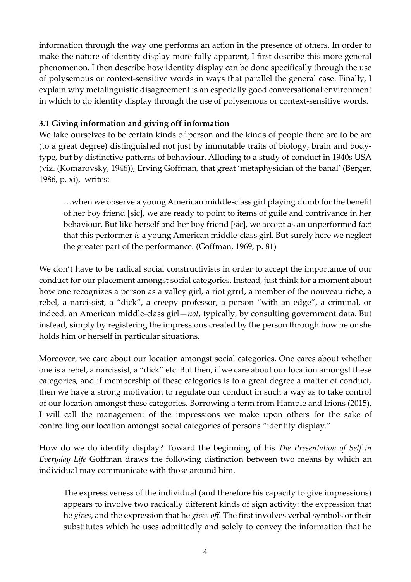information through the way one performs an action in the presence of others. In order to make the nature of identity display more fully apparent, I first describe this more general phenomenon. I then describe how identity display can be done specifically through the use of polysemous or context-sensitive words in ways that parallel the general case. Finally, I explain why metalinguistic disagreement is an especially good conversational environment in which to do identity display through the use of polysemous or context-sensitive words.

### **3.1 Giving information and giving off information**

We take ourselves to be certain kinds of person and the kinds of people there are to be are (to a great degree) distinguished not just by immutable traits of biology, brain and bodytype, but by distinctive patterns of behaviour. Alluding to a study of conduct in 1940s USA (viz. (Komarovsky, 1946)), Erving Goffman, that great 'metaphysician of the banal' (Berger, 1986, p. xi), writes:

…when we observe a young American middle-class girl playing dumb for the benefit of her boy friend [sic], we are ready to point to items of guile and contrivance in her behaviour. But like herself and her boy friend [sic], we accept as an unperformed fact that this performer *is* a young American middle-class girl. But surely here we neglect the greater part of the performance. (Goffman, 1969, p. 81)

We don't have to be radical social constructivists in order to accept the importance of our conduct for our placement amongst social categories. Instead, just think for a moment about how one recognizes a person as a valley girl, a riot grrrl, a member of the nouveau riche, a rebel, a narcissist, a "dick", a creepy professor, a person "with an edge", a criminal, or indeed, an American middle-class girl—*not*, typically, by consulting government data. But instead, simply by registering the impressions created by the person through how he or she holds him or herself in particular situations.

Moreover, we care about our location amongst social categories. One cares about whether one is a rebel, a narcissist, a "dick" etc. But then, if we care about our location amongst these categories, and if membership of these categories is to a great degree a matter of conduct, then we have a strong motivation to regulate our conduct in such a way as to take control of our location amongst these categories. Borrowing a term from Hample and Irions (2015), I will call the management of the impressions we make upon others for the sake of controlling our location amongst social categories of persons "identity display."

How do we do identity display? Toward the beginning of his *The Presentation of Self in Everyday Life* Goffman draws the following distinction between two means by which an individual may communicate with those around him.

The expressiveness of the individual (and therefore his capacity to give impressions) appears to involve two radically different kinds of sign activity: the expression that he *gives*, and the expression that he *gives off*. The first involves verbal symbols or their substitutes which he uses admittedly and solely to convey the information that he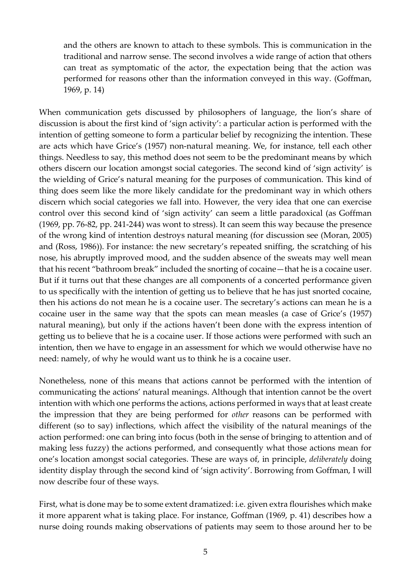and the others are known to attach to these symbols. This is communication in the traditional and narrow sense. The second involves a wide range of action that others can treat as symptomatic of the actor, the expectation being that the action was performed for reasons other than the information conveyed in this way. (Goffman, 1969, p. 14)

When communication gets discussed by philosophers of language, the lion's share of discussion is about the first kind of 'sign activity': a particular action is performed with the intention of getting someone to form a particular belief by recognizing the intention. These are acts which have Grice's (1957) non-natural meaning. We, for instance, tell each other things. Needless to say, this method does not seem to be the predominant means by which others discern our location amongst social categories. The second kind of 'sign activity' is the wielding of Grice's natural meaning for the purposes of communication. This kind of thing does seem like the more likely candidate for the predominant way in which others discern which social categories we fall into. However, the very idea that one can exercise control over this second kind of 'sign activity' can seem a little paradoxical (as Goffman (1969, pp. 76-82, pp. 241-244) was wont to stress). It can seem this way because the presence of the wrong kind of intention destroys natural meaning (for discussion see (Moran, 2005) and (Ross, 1986)). For instance: the new secretary's repeated sniffing, the scratching of his nose, his abruptly improved mood, and the sudden absence of the sweats may well mean that his recent "bathroom break" included the snorting of cocaine—that he is a cocaine user. But if it turns out that these changes are all components of a concerted performance given to us specifically with the intention of getting us to believe that he has just snorted cocaine, then his actions do not mean he is a cocaine user. The secretary's actions can mean he is a cocaine user in the same way that the spots can mean measles (a case of Grice's (1957) natural meaning), but only if the actions haven't been done with the express intention of getting us to believe that he is a cocaine user. If those actions were performed with such an intention, then we have to engage in an assessment for which we would otherwise have no need: namely, of why he would want us to think he is a cocaine user.

Nonetheless, none of this means that actions cannot be performed with the intention of communicating the actions' natural meanings. Although that intention cannot be the overt intention with which one performs the actions, actions performed in ways that at least create the impression that they are being performed for *other* reasons can be performed with different (so to say) inflections, which affect the visibility of the natural meanings of the action performed: one can bring into focus (both in the sense of bringing to attention and of making less fuzzy) the actions performed, and consequently what those actions mean for one's location amongst social categories. These are ways of, in principle, *deliberately* doing identity display through the second kind of 'sign activity'. Borrowing from Goffman, I will now describe four of these ways.

First, what is done may be to some extent dramatized: i.e. given extra flourishes which make it more apparent what is taking place. For instance, Goffman (1969, p. 41) describes how a nurse doing rounds making observations of patients may seem to those around her to be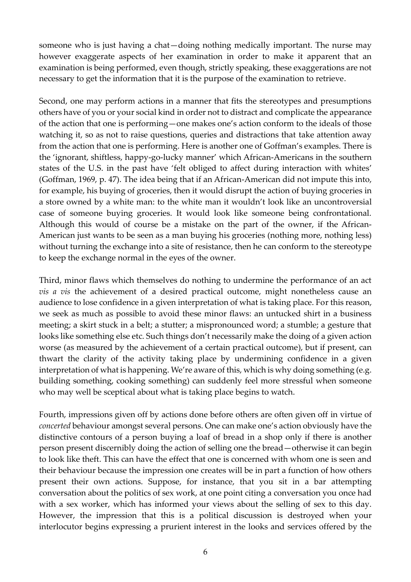someone who is just having a chat—doing nothing medically important. The nurse may however exaggerate aspects of her examination in order to make it apparent that an examination is being performed, even though, strictly speaking, these exaggerations are not necessary to get the information that it is the purpose of the examination to retrieve.

Second, one may perform actions in a manner that fits the stereotypes and presumptions others have of you or your social kind in order not to distract and complicate the appearance of the action that one is performing—one makes one's action conform to the ideals of those watching it, so as not to raise questions, queries and distractions that take attention away from the action that one is performing. Here is another one of Goffman's examples. There is the 'ignorant, shiftless, happy-go-lucky manner' which African-Americans in the southern states of the U.S. in the past have 'felt obliged to affect during interaction with whites' (Goffman, 1969, p. 47). The idea being that if an African-American did not impute this into, for example, his buying of groceries, then it would disrupt the action of buying groceries in a store owned by a white man: to the white man it wouldn't look like an uncontroversial case of someone buying groceries. It would look like someone being confrontational. Although this would of course be a mistake on the part of the owner, if the African-American just wants to be seen as a man buying his groceries (nothing more, nothing less) without turning the exchange into a site of resistance, then he can conform to the stereotype to keep the exchange normal in the eyes of the owner.

Third, minor flaws which themselves do nothing to undermine the performance of an act *vis a vis* the achievement of a desired practical outcome, might nonetheless cause an audience to lose confidence in a given interpretation of what is taking place. For this reason, we seek as much as possible to avoid these minor flaws: an untucked shirt in a business meeting; a skirt stuck in a belt; a stutter; a mispronounced word; a stumble; a gesture that looks like something else etc. Such things don't necessarily make the doing of a given action worse (as measured by the achievement of a certain practical outcome), but if present, can thwart the clarity of the activity taking place by undermining confidence in a given interpretation of what is happening. We're aware of this, which is why doing something (e.g. building something, cooking something) can suddenly feel more stressful when someone who may well be sceptical about what is taking place begins to watch.

Fourth, impressions given off by actions done before others are often given off in virtue of *concerted* behaviour amongst several persons. One can make one's action obviously have the distinctive contours of a person buying a loaf of bread in a shop only if there is another person present discernibly doing the action of selling one the bread—otherwise it can begin to look like theft. This can have the effect that one is concerned with whom one is seen and their behaviour because the impression one creates will be in part a function of how others present their own actions. Suppose, for instance, that you sit in a bar attempting conversation about the politics of sex work, at one point citing a conversation you once had with a sex worker, which has informed your views about the selling of sex to this day. However, the impression that this is a political discussion is destroyed when your interlocutor begins expressing a prurient interest in the looks and services offered by the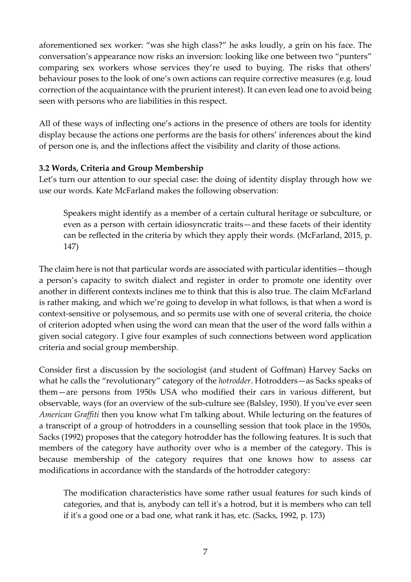aforementioned sex worker: "was she high class?" he asks loudly, a grin on his face. The conversation's appearance now risks an inversion: looking like one between two "punters" comparing sex workers whose services they're used to buying. The risks that others' behaviour poses to the look of one's own actions can require corrective measures (e.g. loud correction of the acquaintance with the prurient interest). It can even lead one to avoid being seen with persons who are liabilities in this respect.

All of these ways of inflecting one's actions in the presence of others are tools for identity display because the actions one performs are the basis for others' inferences about the kind of person one is, and the inflections affect the visibility and clarity of those actions.

### **3.2 Words, Criteria and Group Membership**

Let's turn our attention to our special case: the doing of identity display through how we use our words. Kate McFarland makes the following observation:

Speakers might identify as a member of a certain cultural heritage or subculture, or even as a person with certain idiosyncratic traits—and these facets of their identity can be reflected in the criteria by which they apply their words. (McFarland, 2015, p. 147)

The claim here is not that particular words are associated with particular identities—though a person's capacity to switch dialect and register in order to promote one identity over another in different contexts inclines me to think that this is also true. The claim McFarland is rather making, and which we're going to develop in what follows, is that when a word is context-sensitive or polysemous, and so permits use with one of several criteria, the choice of criterion adopted when using the word can mean that the user of the word falls within a given social category. I give four examples of such connections between word application criteria and social group membership.

Consider first a discussion by the sociologist (and student of Goffman) Harvey Sacks on what he calls the "revolutionary" category of the *hotrodder*. Hotrodders—as Sacks speaks of them—are persons from 1950s USA who modified their cars in various different, but observable, ways (for an overview of the sub-culture see (Balsley, 1950). If you've ever seen *American Graffiti* then you know what I'm talking about. While lecturing on the features of a transcript of a group of hotrodders in a counselling session that took place in the 1950s, Sacks (1992) proposes that the category hotrodder has the following features. It is such that members of the category have authority over who is a member of the category. This is because membership of the category requires that one knows how to assess car modifications in accordance with the standards of the hotrodder category:

The modification characteristics have some rather usual features for such kinds of categories, and that is, anybody can tell it's a hotrod, but it is members who can tell if it's a good one or a bad one, what rank it has, etc. (Sacks, 1992, p. 173)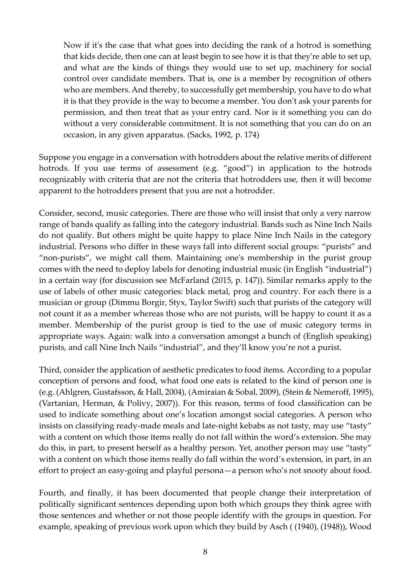Now if it's the case that what goes into deciding the rank of a hotrod is something that kids decide, then one can at least begin to see how it is that they're able to set up, and what are the kinds of things they would use to set up, machinery for social control over candidate members. That is, one is a member by recognition of others who are members. And thereby, to successfully get membership, you have to do what it is that they provide is the way to become a member. You don't ask your parents for permission, and then treat that as your entry card. Nor is it something you can do without a very considerable commitment. It is not something that you can do on an occasion, in any given apparatus. (Sacks, 1992, p. 174)

Suppose you engage in a conversation with hotrodders about the relative merits of different hotrods. If you use terms of assessment (e.g. "good") in application to the hotrods recognizably with criteria that are not the criteria that hotrodders use, then it will become apparent to the hotrodders present that you are not a hotrodder.

Consider, second, music categories. There are those who will insist that only a very narrow range of bands qualify as falling into the category industrial. Bands such as Nine Inch Nails do not qualify. But others might be quite happy to place Nine Inch Nails in the category industrial. Persons who differ in these ways fall into different social groups: "purists" and "non-purists", we might call them. Maintaining one's membership in the purist group comes with the need to deploy labels for denoting industrial music (in English "industrial") in a certain way (for discussion see McFarland (2015, p. 147)). Similar remarks apply to the use of labels of other music categories: black metal, prog and country. For each there is a musician or group (Dimmu Borgir, Styx, Taylor Swift) such that purists of the category will not count it as a member whereas those who are not purists, will be happy to count it as a member. Membership of the purist group is tied to the use of music category terms in appropriate ways. Again: walk into a conversation amongst a bunch of (English speaking) purists, and call Nine Inch Nails "industrial", and they'll know you're not a purist.

Third, consider the application of aesthetic predicates to food items. According to a popular conception of persons and food, what food one eats is related to the kind of person one is (e.g. (Ahlgren, Gustafsson, & Hall, 2004), (Amiraian & Sobal, 2009), (Stein & Nemeroff, 1995), (Vartanian, Herman, & Polivy, 2007)). For this reason, terms of food classification can be used to indicate something about one's location amongst social categories. A person who insists on classifying ready-made meals and late-night kebabs as not tasty, may use "tasty" with a content on which those items really do not fall within the word's extension. She may do this, in part, to present herself as a healthy person. Yet, another person may use "tasty" with a content on which those items really do fall within the word's extension, in part, in an effort to project an easy-going and playful persona—a person who's not snooty about food.

Fourth, and finally, it has been documented that people change their interpretation of politically significant sentences depending upon both which groups they think agree with those sentences and whether or not those people identify with the groups in question. For example, speaking of previous work upon which they build by Asch ( (1940), (1948)), Wood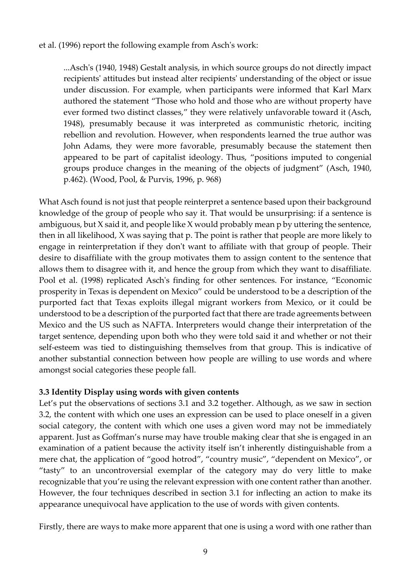et al. (1996) report the following example from Asch's work:

...Asch's (1940, 1948) Gestalt analysis, in which source groups do not directly impact recipients' attitudes but instead alter recipients' understanding of the object or issue under discussion. For example, when participants were informed that Karl Marx authored the statement "Those who hold and those who are without property have ever formed two distinct classes," they were relatively unfavorable toward it (Asch, 1948), presumably because it was interpreted as communistic rhetoric, inciting rebellion and revolution. However, when respondents learned the true author was John Adams, they were more favorable, presumably because the statement then appeared to be part of capitalist ideology. Thus, "positions imputed to congenial groups produce changes in the meaning of the objects of judgment" (Asch, 1940, p.462). (Wood, Pool, & Purvis, 1996, p. 968)

What Asch found is not just that people reinterpret a sentence based upon their background knowledge of the group of people who say it. That would be unsurprising: if a sentence is ambiguous, but X said it, and people like X would probably mean p by uttering the sentence, then in all likelihood, X was saying that p. The point is rather that people are more likely to engage in reinterpretation if they don't want to affiliate with that group of people. Their desire to disaffiliate with the group motivates them to assign content to the sentence that allows them to disagree with it, and hence the group from which they want to disaffiliate. Pool et al. (1998) replicated Asch's finding for other sentences. For instance, "Economic prosperity in Texas is dependent on Mexico" could be understood to be a description of the purported fact that Texas exploits illegal migrant workers from Mexico, or it could be understood to be a description of the purported fact that there are trade agreements between Mexico and the US such as NAFTA. Interpreters would change their interpretation of the target sentence, depending upon both who they were told said it and whether or not their self-esteem was tied to distinguishing themselves from that group. This is indicative of another substantial connection between how people are willing to use words and where amongst social categories these people fall.

### **3.3 Identity Display using words with given contents**

Let's put the observations of sections 3.1 and 3.2 together. Although, as we saw in section 3.2, the content with which one uses an expression can be used to place oneself in a given social category, the content with which one uses a given word may not be immediately apparent. Just as Goffman's nurse may have trouble making clear that she is engaged in an examination of a patient because the activity itself isn't inherently distinguishable from a mere chat, the application of "good hotrod", "country music", "dependent on Mexico", or "tasty" to an uncontroversial exemplar of the category may do very little to make recognizable that you're using the relevant expression with one content rather than another. However, the four techniques described in section 3.1 for inflecting an action to make its appearance unequivocal have application to the use of words with given contents.

Firstly, there are ways to make more apparent that one is using a word with one rather than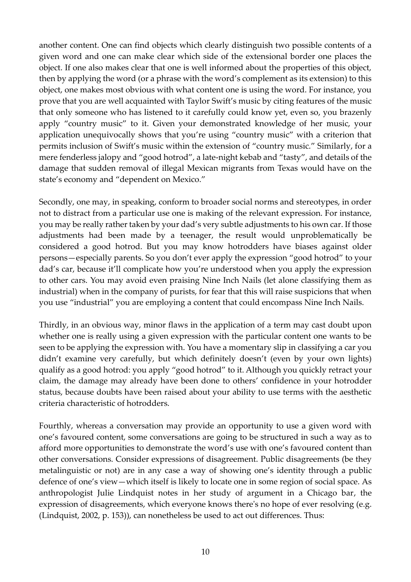another content. One can find objects which clearly distinguish two possible contents of a given word and one can make clear which side of the extensional border one places the object. If one also makes clear that one is well informed about the properties of this object, then by applying the word (or a phrase with the word's complement as its extension) to this object, one makes most obvious with what content one is using the word. For instance, you prove that you are well acquainted with Taylor Swift's music by citing features of the music that only someone who has listened to it carefully could know yet, even so, you brazenly apply "country music" to it. Given your demonstrated knowledge of her music, your application unequivocally shows that you're using "country music" with a criterion that permits inclusion of Swift's music within the extension of "country music." Similarly, for a mere fenderless jalopy and "good hotrod", a late-night kebab and "tasty", and details of the damage that sudden removal of illegal Mexican migrants from Texas would have on the state's economy and "dependent on Mexico."

Secondly, one may, in speaking, conform to broader social norms and stereotypes, in order not to distract from a particular use one is making of the relevant expression. For instance, you may be really rather taken by your dad's very subtle adjustments to his own car. If those adjustments had been made by a teenager, the result would unproblematically be considered a good hotrod. But you may know hotrodders have biases against older persons—especially parents. So you don't ever apply the expression "good hotrod" to your dad's car, because it'll complicate how you're understood when you apply the expression to other cars. You may avoid even praising Nine Inch Nails (let alone classifying them as industrial) when in the company of purists, for fear that this will raise suspicions that when you use "industrial" you are employing a content that could encompass Nine Inch Nails.

Thirdly, in an obvious way, minor flaws in the application of a term may cast doubt upon whether one is really using a given expression with the particular content one wants to be seen to be applying the expression with. You have a momentary slip in classifying a car you didn't examine very carefully, but which definitely doesn't (even by your own lights) qualify as a good hotrod: you apply "good hotrod" to it. Although you quickly retract your claim, the damage may already have been done to others' confidence in your hotrodder status, because doubts have been raised about your ability to use terms with the aesthetic criteria characteristic of hotrodders.

Fourthly, whereas a conversation may provide an opportunity to use a given word with one's favoured content, some conversations are going to be structured in such a way as to afford more opportunities to demonstrate the word's use with one's favoured content than other conversations. Consider expressions of disagreement. Public disagreements (be they metalinguistic or not) are in any case a way of showing one's identity through a public defence of one's view—which itself is likely to locate one in some region of social space. As anthropologist Julie Lindquist notes in her study of argument in a Chicago bar, the expression of disagreements, which everyone knows there's no hope of ever resolving (e.g. (Lindquist, 2002, p. 153)), can nonetheless be used to act out differences. Thus: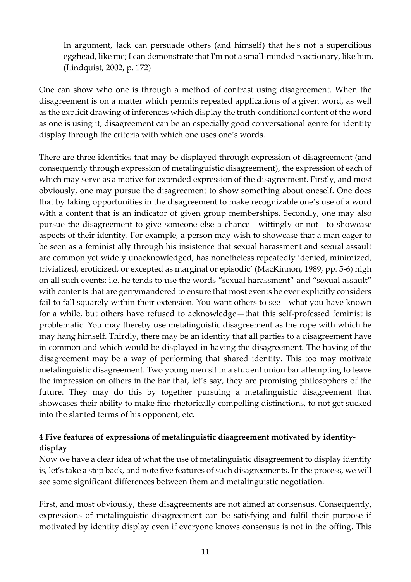In argument, Jack can persuade others (and himself) that he's not a supercilious egghead, like me; I can demonstrate that I'm not a small-minded reactionary, like him. (Lindquist, 2002, p. 172)

One can show who one is through a method of contrast using disagreement. When the disagreement is on a matter which permits repeated applications of a given word, as well as the explicit drawing of inferences which display the truth-conditional content of the word as one is using it, disagreement can be an especially good conversational genre for identity display through the criteria with which one uses one's words.

There are three identities that may be displayed through expression of disagreement (and consequently through expression of metalinguistic disagreement), the expression of each of which may serve as a motive for extended expression of the disagreement. Firstly, and most obviously, one may pursue the disagreement to show something about oneself. One does that by taking opportunities in the disagreement to make recognizable one's use of a word with a content that is an indicator of given group memberships. Secondly, one may also pursue the disagreement to give someone else a chance—wittingly or not—to showcase aspects of their identity. For example, a person may wish to showcase that a man eager to be seen as a feminist ally through his insistence that sexual harassment and sexual assault are common yet widely unacknowledged, has nonetheless repeatedly 'denied, minimized, trivialized, eroticized, or excepted as marginal or episodic' (MacKinnon, 1989, pp. 5-6) nigh on all such events: i.e. he tends to use the words "sexual harassment" and "sexual assault" with contents that are gerrymandered to ensure that most events he ever explicitly considers fail to fall squarely within their extension. You want others to see—what you have known for a while, but others have refused to acknowledge—that this self-professed feminist is problematic. You may thereby use metalinguistic disagreement as the rope with which he may hang himself. Thirdly, there may be an identity that all parties to a disagreement have in common and which would be displayed in having the disagreement. The having of the disagreement may be a way of performing that shared identity. This too may motivate metalinguistic disagreement. Two young men sit in a student union bar attempting to leave the impression on others in the bar that, let's say, they are promising philosophers of the future. They may do this by together pursuing a metalinguistic disagreement that showcases their ability to make fine rhetorically compelling distinctions, to not get sucked into the slanted terms of his opponent, etc.

## **4 Five features of expressions of metalinguistic disagreement motivated by identitydisplay**

Now we have a clear idea of what the use of metalinguistic disagreement to display identity is, let's take a step back, and note five features of such disagreements. In the process, we will see some significant differences between them and metalinguistic negotiation.

First, and most obviously, these disagreements are not aimed at consensus. Consequently, expressions of metalinguistic disagreement can be satisfying and fulfil their purpose if motivated by identity display even if everyone knows consensus is not in the offing. This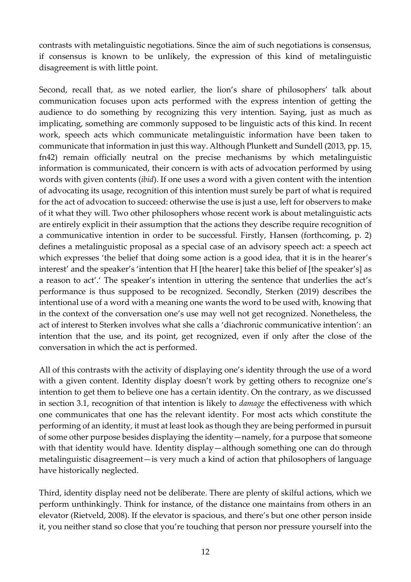contrasts with metalinguistic negotiations. Since the aim of such negotiations is consensus, if consensus is known to be unlikely, the expression of this kind of metalinguistic disagreement is with little point.

Second, recall that, as we noted earlier, the lion's share of philosophers' talk about communication focuses upon acts performed with the express intention of getting the audience to do something by recognizing this very intention. Saying, just as much as implicating, something are commonly supposed to be linguistic acts of this kind. In recent work, speech acts which communicate metalinguistic information have been taken to communicate that information in just this way. Although Plunkett and Sundell (2013, pp. 15, fn42) remain officially neutral on the precise mechanisms by which metalinguistic information is communicated, their concern is with acts of advocation performed by using words with given contents (*ibid*). If one uses a word with a given content with the intention of advocating its usage, recognition of this intention must surely be part of what is required for the act of advocation to succeed: otherwise the use is just a use, left for observers to make of it what they will. Two other philosophers whose recent work is about metalinguistic acts are entirely explicit in their assumption that the actions they describe require recognition of a communicative intention in order to be successful. Firstly, Hansen (forthcoming, p. 2) defines a metalinguistic proposal as a special case of an advisory speech act: a speech act which expresses 'the belief that doing some action is a good idea, that it is in the hearer's interest' and the speaker's 'intention that H [the hearer] take this belief of [the speaker's] as a reason to act'.' The speaker's intention in uttering the sentence that underlies the act's performance is thus supposed to be recognized. Secondly, Sterken (2019) describes the intentional use of a word with a meaning one wants the word to be used with, knowing that in the context of the conversation one's use may well not get recognized. Nonetheless, the act of interest to Sterken involves what she calls a 'diachronic communicative intention': an intention that the use, and its point, get recognized, even if only after the close of the conversation in which the act is performed.

All of this contrasts with the activity of displaying one's identity through the use of a word with a given content. Identity display doesn't work by getting others to recognize one's intention to get them to believe one has a certain identity. On the contrary, as we discussed in section 3.1, recognition of that intention is likely to *damage* the effectiveness with which one communicates that one has the relevant identity. For most acts which constitute the performing of an identity, it must at least look as though they are being performed in pursuit of some other purpose besides displaying the identity—namely, for a purpose that someone with that identity would have. Identity display—although something one can do through metalinguistic disagreement—is very much a kind of action that philosophers of language have historically neglected.

Third, identity display need not be deliberate. There are plenty of skilful actions, which we perform unthinkingly. Think for instance, of the distance one maintains from others in an elevator (Rietveld, 2008). If the elevator is spacious, and there's but one other person inside it, you neither stand so close that you're touching that person nor pressure yourself into the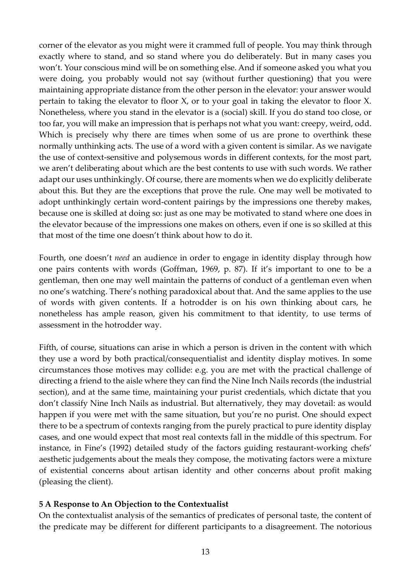corner of the elevator as you might were it crammed full of people. You may think through exactly where to stand, and so stand where you do deliberately. But in many cases you won't. Your conscious mind will be on something else. And if someone asked you what you were doing, you probably would not say (without further questioning) that you were maintaining appropriate distance from the other person in the elevator: your answer would pertain to taking the elevator to floor X, or to your goal in taking the elevator to floor X. Nonetheless, where you stand in the elevator is a (social) skill. If you do stand too close, or too far, you will make an impression that is perhaps not what you want: creepy, weird, odd. Which is precisely why there are times when some of us are prone to overthink these normally unthinking acts. The use of a word with a given content is similar. As we navigate the use of context-sensitive and polysemous words in different contexts, for the most part, we aren't deliberating about which are the best contents to use with such words. We rather adapt our uses unthinkingly. Of course, there are moments when we do explicitly deliberate about this. But they are the exceptions that prove the rule. One may well be motivated to adopt unthinkingly certain word-content pairings by the impressions one thereby makes, because one is skilled at doing so: just as one may be motivated to stand where one does in the elevator because of the impressions one makes on others, even if one is so skilled at this that most of the time one doesn't think about how to do it.

Fourth, one doesn't *need* an audience in order to engage in identity display through how one pairs contents with words (Goffman, 1969, p. 87). If it's important to one to be a gentleman, then one may well maintain the patterns of conduct of a gentleman even when no one's watching. There's nothing paradoxical about that. And the same applies to the use of words with given contents. If a hotrodder is on his own thinking about cars, he nonetheless has ample reason, given his commitment to that identity, to use terms of assessment in the hotrodder way.

Fifth, of course, situations can arise in which a person is driven in the content with which they use a word by both practical/consequentialist and identity display motives. In some circumstances those motives may collide: e.g. you are met with the practical challenge of directing a friend to the aisle where they can find the Nine Inch Nails records (the industrial section), and at the same time, maintaining your purist credentials, which dictate that you don't classify Nine Inch Nails as industrial. But alternatively, they may dovetail: as would happen if you were met with the same situation, but you're no purist. One should expect there to be a spectrum of contexts ranging from the purely practical to pure identity display cases, and one would expect that most real contexts fall in the middle of this spectrum. For instance, in Fine's (1992) detailed study of the factors guiding restaurant-working chefs' aesthetic judgements about the meals they compose, the motivating factors were a mixture of existential concerns about artisan identity and other concerns about profit making (pleasing the client).

#### **5 A Response to An Objection to the Contextualist**

On the contextualist analysis of the semantics of predicates of personal taste, the content of the predicate may be different for different participants to a disagreement. The notorious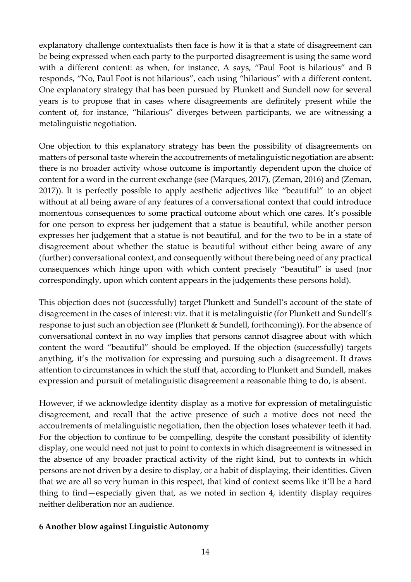explanatory challenge contextualists then face is how it is that a state of disagreement can be being expressed when each party to the purported disagreement is using the same word with a different content: as when, for instance, A says, "Paul Foot is hilarious" and B responds, "No, Paul Foot is not hilarious", each using "hilarious" with a different content. One explanatory strategy that has been pursued by Plunkett and Sundell now for several years is to propose that in cases where disagreements are definitely present while the content of, for instance, "hilarious" diverges between participants, we are witnessing a metalinguistic negotiation.

One objection to this explanatory strategy has been the possibility of disagreements on matters of personal taste wherein the accoutrements of metalinguistic negotiation are absent: there is no broader activity whose outcome is importantly dependent upon the choice of content for a word in the current exchange (see (Marques, 2017), (Zeman, 2016) and (Zeman, 2017)). It is perfectly possible to apply aesthetic adjectives like "beautiful" to an object without at all being aware of any features of a conversational context that could introduce momentous consequences to some practical outcome about which one cares. It's possible for one person to express her judgement that a statue is beautiful, while another person expresses her judgement that a statue is not beautiful, and for the two to be in a state of disagreement about whether the statue is beautiful without either being aware of any (further) conversational context, and consequently without there being need of any practical consequences which hinge upon with which content precisely "beautiful" is used (nor correspondingly, upon which content appears in the judgements these persons hold).

This objection does not (successfully) target Plunkett and Sundell's account of the state of disagreement in the cases of interest: viz. that it is metalinguistic (for Plunkett and Sundell's response to just such an objection see (Plunkett & Sundell, forthcoming)). For the absence of conversational context in no way implies that persons cannot disagree about with which content the word "beautiful" should be employed. If the objection (successfully) targets anything, it's the motivation for expressing and pursuing such a disagreement. It draws attention to circumstances in which the stuff that, according to Plunkett and Sundell, makes expression and pursuit of metalinguistic disagreement a reasonable thing to do, is absent.

However, if we acknowledge identity display as a motive for expression of metalinguistic disagreement, and recall that the active presence of such a motive does not need the accoutrements of metalinguistic negotiation, then the objection loses whatever teeth it had. For the objection to continue to be compelling, despite the constant possibility of identity display, one would need not just to point to contexts in which disagreement is witnessed in the absence of any broader practical activity of the right kind, but to contexts in which persons are not driven by a desire to display, or a habit of displaying, their identities. Given that we are all so very human in this respect, that kind of context seems like it'll be a hard thing to find—especially given that, as we noted in section 4, identity display requires neither deliberation nor an audience.

### **6 Another blow against Linguistic Autonomy**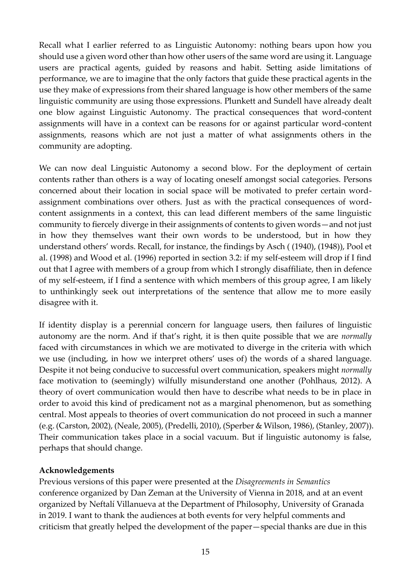Recall what I earlier referred to as Linguistic Autonomy: nothing bears upon how you should use a given word other than how other users of the same word are using it. Language users are practical agents, guided by reasons and habit. Setting aside limitations of performance, we are to imagine that the only factors that guide these practical agents in the use they make of expressions from their shared language is how other members of the same linguistic community are using those expressions. Plunkett and Sundell have already dealt one blow against Linguistic Autonomy. The practical consequences that word-content assignments will have in a context can be reasons for or against particular word-content assignments, reasons which are not just a matter of what assignments others in the community are adopting.

We can now deal Linguistic Autonomy a second blow. For the deployment of certain contents rather than others is a way of locating oneself amongst social categories. Persons concerned about their location in social space will be motivated to prefer certain wordassignment combinations over others. Just as with the practical consequences of wordcontent assignments in a context, this can lead different members of the same linguistic community to fiercely diverge in their assignments of contents to given words—and not just in how they themselves want their own words to be understood, but in how they understand others' words. Recall, for instance, the findings by Asch ( (1940), (1948)), Pool et al. (1998) and Wood et al. (1996) reported in section 3.2: if my self-esteem will drop if I find out that I agree with members of a group from which I strongly disaffiliate, then in defence of my self-esteem, if I find a sentence with which members of this group agree, I am likely to unthinkingly seek out interpretations of the sentence that allow me to more easily disagree with it.

If identity display is a perennial concern for language users, then failures of linguistic autonomy are the norm. And if that's right, it is then quite possible that we are *normally*  faced with circumstances in which we are motivated to diverge in the criteria with which we use (including, in how we interpret others' uses of) the words of a shared language. Despite it not being conducive to successful overt communication, speakers might *normally* face motivation to (seemingly) wilfully misunderstand one another (Pohlhaus, 2012). A theory of overt communication would then have to describe what needs to be in place in order to avoid this kind of predicament not as a marginal phenomenon, but as something central. Most appeals to theories of overt communication do not proceed in such a manner (e.g. (Carston, 2002), (Neale, 2005), (Predelli, 2010), (Sperber & Wilson, 1986), (Stanley, 2007)). Their communication takes place in a social vacuum. But if linguistic autonomy is false, perhaps that should change.

### **Acknowledgements**

Previous versions of this paper were presented at the *Disagreements in Semantics*  conference organized by Dan Zeman at the University of Vienna in 2018, and at an event organized by Neftalí Villanueva at the Department of Philosophy, University of Granada in 2019. I want to thank the audiences at both events for very helpful comments and criticism that greatly helped the development of the paper—special thanks are due in this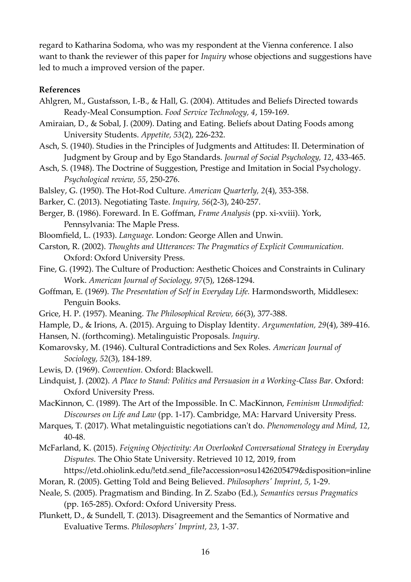regard to Katharina Sodoma, who was my respondent at the Vienna conference. I also want to thank the reviewer of this paper for *Inquiry* whose objections and suggestions have led to much a improved version of the paper.

#### **References**

- Ahlgren, M., Gustafsson, I.-B., & Hall, G. (2004). Attitudes and Beliefs Directed towards Ready-Meal Consumption. *Food Service Technology, 4*, 159-169.
- Amiraian, D., & Sobal, J. (2009). Dating and Eating. Beliefs about Dating Foods among University Students. *Appetite, 53*(2), 226-232.
- Asch, S. (1940). Studies in the Principles of Judgments and Attitudes: II. Determination of Judgment by Group and by Ego Standards. *Journal of Social Psychology, 12*, 433-465.
- Asch, S. (1948). The Doctrine of Suggestion, Prestige and Imitation in Social Psychology. *Psychological review, 55*, 250-276.
- Balsley, G. (1950). The Hot-Rod Culture. *American Quarterly, 2*(4), 353-358.
- Barker, C. (2013). Negotiating Taste. *Inquiry, 56*(2-3), 240-257.
- Berger, B. (1986). Foreward. In E. Goffman, *Frame Analysis* (pp. xi-xviii). York, Pennsylvania: The Maple Press.
- Bloomfield, L. (1933). *Language.* London: George Allen and Unwin.
- Carston, R. (2002). *Thoughts and Utterances: The Pragmatics of Explicit Communication.* Oxford: Oxford University Press.
- Fine, G. (1992). The Culture of Production: Aesthetic Choices and Constraints in Culinary Work. *American Journal of Sociology, 97*(5), 1268-1294.
- Goffman, E. (1969). *The Presentation of Self in Everyday Life.* Harmondsworth, Middlesex: Penguin Books.
- Grice, H. P. (1957). Meaning. *The Philosophical Review, 66*(3), 377-388.
- Hample, D., & Irions, A. (2015). Arguing to Display Identity. *Argumentation, 29*(4), 389-416.
- Hansen, N. (forthcoming). Metalinguistic Proposals. *Inquiry*.
- Komarovsky, M. (1946). Cultural Contradictions and Sex Roles. *American Journal of Sociology, 52*(3), 184-189.
- Lewis, D. (1969). *Convention.* Oxford: Blackwell.
- Lindquist, J. (2002). *A Place to Stand: Politics and Persuasion in a Working-Class Bar.* Oxford: Oxford University Press.
- MacKinnon, C. (1989). The Art of the Impossible. In C. MacKinnon, *Feminism Unmodified: Discourses on Life and Law* (pp. 1-17). Cambridge, MA: Harvard University Press.
- Marques, T. (2017). What metalinguistic negotiations can't do. *Phenomenology and Mind, 12*, 40-48.
- McFarland, K. (2015). *Feigning Objectivity: An Overlooked Conversational Strategy in Everyday Disputes.* The Ohio State University. Retrieved 10 12, 2019, from

https://etd.ohiolink.edu/!etd.send\_file?accession=osu1426205479&disposition=inline Moran, R. (2005). Getting Told and Being Believed. *Philosophers' Imprint, 5*, 1-29.

- Neale, S. (2005). Pragmatism and Binding. In Z. Szabo (Ed.), *Semantics versus Pragmatics* (pp. 165-285). Oxford: Oxford University Press.
- Plunkett, D., & Sundell, T. (2013). Disagreement and the Semantics of Normative and Evaluative Terms. *Philosophers' Imprint, 23*, 1-37.